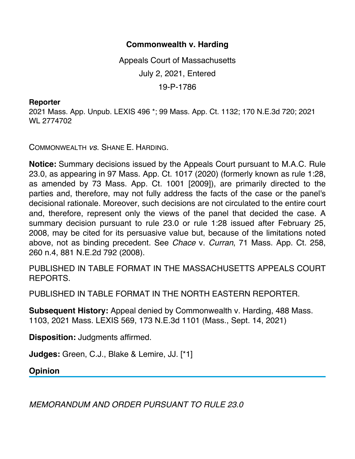## **Commonwealth v. Harding**

Appeals Court of Massachusetts July 2, 2021, Entered 19-P-1786

## **Reporter**

2021 Mass. App. Unpub. LEXIS 496 \*; 99 Mass. App. Ct. 1132; 170 N.E.3d 720; 2021 WL 2774702

COMMONWEALTH *vs*. SHANE E. HARDING.

**Notice:** Summary decisions issued by the Appeals Court pursuant to M.A.C. Rule 23.0, as appearing in 97 Mass. App. Ct. 1017 (2020) (formerly known as rule 1:28, as amended by 73 Mass. App. Ct. 1001 [2009]), are primarily directed to the parties and, therefore, may not fully address the facts of the case or the panel's decisional rationale. Moreover, such decisions are not circulated to the entire court and, therefore, represent only the views of the panel that decided the case. A summary decision pursuant to rule 23.0 or rule 1:28 issued after February 25, 2008, may be cited for its persuasive value but, because of the limitations noted above, not as binding precedent. See *Chace* v. *Curran*, 71 Mass. App. Ct. 258, 260 n.4, 881 N.E.2d 792 (2008).

PUBLISHED IN TABLE FORMAT IN THE MASSACHUSETTS APPEALS COURT REPORTS.

PUBLISHED IN TABLE FORMAT IN THE NORTH EASTERN REPORTER.

**Subsequent History:** Appeal denied by Commonwealth v. Harding, 488 Mass. 1103, 2021 Mass. LEXIS 569, 173 N.E.3d 1101 (Mass., Sept. 14, 2021)

**Disposition:** Judgments affirmed.

**Judges:** Green, C.J., Blake & Lemire, JJ. [\*1]

**Opinion**

*MEMORANDUM AND ORDER PURSUANT TO RULE 23.0*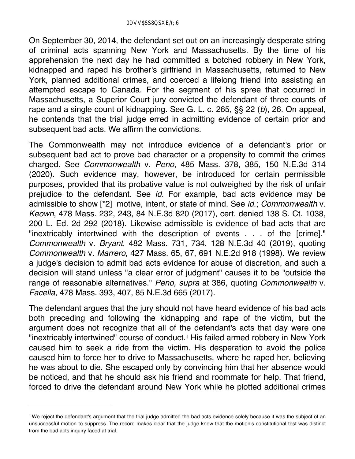On September 30, 2014, the defendant set out on an increasingly desperate string of criminal acts spanning New York and Massachusetts. By the time of his apprehension the next day he had committed a botched robbery in New York, kidnapped and raped his brother's girlfriend in Massachusetts, returned to New York, planned additional crimes, and coerced a lifelong friend into assisting an attempted escape to Canada. For the segment of his spree that occurred in Massachusetts, a Superior Court jury convicted the defendant of three counts of rape and a single count of kidnapping. See G. L. c. 265, §§ 22 (*b*), 26. On appeal, he contends that the trial judge erred in admitting evidence of certain prior and subsequent bad acts. We affirm the convictions.

The Commonwealth may not introduce evidence of a defendant's prior or subsequent bad act to prove bad character or a propensity to commit the crimes charged. See *Commonwealth* v. *Peno*, 485 Mass. 378, 385, 150 N.E.3d 314 (2020). Such evidence may, however, be introduced for certain permissible purposes, provided that its probative value is not outweighed by the risk of unfair prejudice to the defendant. See *id.* For example, bad acts evidence may be admissible to show [\*2] motive, intent, or state of mind. See *id.*; *Commonwealth* v. *Keown*, 478 Mass. 232, 243, 84 N.E.3d 820 (2017), cert. denied 138 S. Ct. 1038, 200 L. Ed. 2d 292 (2018). Likewise admissible is evidence of bad acts that are "inextricably intertwined with the description of events . . . of the [crime]." *Commonwealth* v. *Bryant*, 482 Mass. 731, 734, 128 N.E.3d 40 (2019), quoting *Commonwealth* v. *Marrero*, 427 Mass. 65, 67, 691 N.E.2d 918 (1998). We review a judge's decision to admit bad acts evidence for abuse of discretion, and such a decision will stand unless "a clear error of judgment" causes it to be "outside the range of reasonable alternatives." *Peno, supra* at 386, quoting *Commonwealth* v. *Facella*, 478 Mass. 393, 407, 85 N.E.3d 665 (2017).

The defendant argues that the jury should not have heard evidence of his bad acts both preceding and following the kidnapping and rape of the victim, but the argument does not recognize that all of the defendant's acts that day were one "inextricably intertwined" course of conduct.<sup>1</sup> His failed armed robbery in New York caused him to seek a ride from the victim. His desperation to avoid the police caused him to force her to drive to Massachusetts, where he raped her, believing he was about to die. She escaped only by convincing him that her absence would be noticed, and that he should ask his friend and roommate for help. That friend, forced to drive the defendant around New York while he plotted additional crimes

<sup>1</sup> We reject the defendant's argument that the trial judge admitted the bad acts evidence solely because it was the subject of an unsuccessful motion to suppress. The record makes clear that the judge knew that the motion's constitutional test was distinct from the bad acts inquiry faced at trial.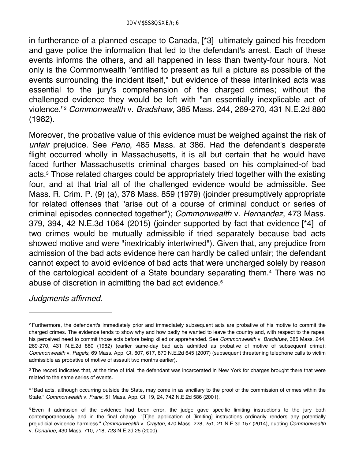in furtherance of a planned escape to Canada, [\*3] ultimately gained his freedom and gave police the information that led to the defendant's arrest. Each of these events informs the others, and all happened in less than twenty-four hours. Not only is the Commonwealth "entitled to present as full a picture as possible of the events surrounding the incident itself," but evidence of these interlinked acts was essential to the jury's comprehension of the charged crimes; without the challenged evidence they would be left with "an essentially inexplicable act of violence."2 *Commonwealth* v. *Bradshaw*, 385 Mass. 244, 269-270, 431 N.E.2d 880 (1982).

Moreover, the probative value of this evidence must be weighed against the risk of *unfair* prejudice. See *Peno*, 485 Mass. at 386. Had the defendant's desperate flight occurred wholly in Massachusetts, it is all but certain that he would have faced further Massachusetts criminal charges based on his complained-of bad acts.3 Those related charges could be appropriately tried together with the existing four, and at that trial all of the challenged evidence would be admissible. See Mass. R. Crim. P. (9) (a), 378 Mass. 859 (1979) (joinder presumptively appropriate for related offenses that "arise out of a course of criminal conduct or series of criminal episodes connected together"); *Commonwealth* v. *Hernandez*, 473 Mass. 379, 394, 42 N.E.3d 1064 (2015) (joinder supported by fact that evidence [\*4] of two crimes would be mutually admissible if tried separately because bad acts showed motive and were "inextricably intertwined"). Given that, any prejudice from admission of the bad acts evidence here can hardly be called unfair; the defendant cannot expect to avoid evidence of bad acts that were uncharged solely by reason of the cartological accident of a State boundary separating them.4 There was no abuse of discretion in admitting the bad act evidence.5

## *Judgments affirmed*.

<sup>&</sup>lt;sup>2</sup> Furthermore, the defendant's immediately prior and immediately subsequent acts are probative of his motive to commit the charged crimes. The evidence tends to show why and how badly he wanted to leave the country and, with respect to the rapes, his perceived need to commit those acts before being killed or apprehended. See *Commonwealth* v. *Bradshaw*, 385 Mass. 244, 269-270, 431 N.E.2d 880 (1982) (earlier same-day bad acts admitted as probative of motive of subsequent crime); *Commonwealth* v. *Pagels*, 69 Mass. App. Ct. 607, 617, 870 N.E.2d 645 (2007) (subsequent threatening telephone calls to victim admissible as probative of motive of assault two months earlier).

<sup>&</sup>lt;sup>3</sup> The record indicates that, at the time of trial, the defendant was incarcerated in New York for charges brought there that were related to the same series of events.

<sup>4 &</sup>quot;Bad acts, although occurring outside the State, may come in as ancillary to the proof of the commission of crimes within the State." *Commonwealth* v. *Frank*, 51 Mass. App. Ct. 19, 24, 742 N.E.2d 586 (2001).

<sup>5</sup> Even if admission of the evidence had been error, the judge gave specific limiting instructions to the jury both contemporaneously and in the final charge. "[T]he application of [limiting] instructions ordinarily renders any potentially prejudicial evidence harmless." *Commonwealth* v. *Crayton*, 470 Mass. 228, 251, 21 N.E.3d 157 (2014), quoting *Commonwealth* v. *Donahue*, 430 Mass. 710, 718, 723 N.E.2d 25 (2000).